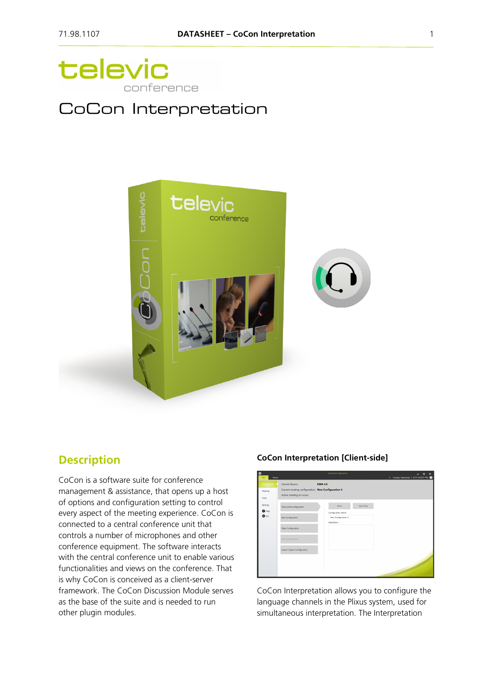

# CoCon Interpretation



## **Description**

CoCon is a software suite for conference management & assistance, that opens up a host of options and configuration setting to control every aspect of the meeting experience. CoCon is connected to a central conference unit that controls a number of microphones and other conference equipment. The software interacts with the central conference unit to enable various functionalities and views on the conference. That is why CoCon is conceived as a client-server framework. The CoCon Discussion Module serves as the base of the suite and is needed to run other plugin modules.

#### **CoCon Interpretation [Client-side]**

| œ<br>Home<br>File                            |                                                                                                       | interpreter ispprication                                                                            | $\boldsymbol{\mathsf{x}}$<br>$\blacksquare$<br>Tuesday, September 1, 2015 9:28:37 PM |
|----------------------------------------------|-------------------------------------------------------------------------------------------------------|-----------------------------------------------------------------------------------------------------|--------------------------------------------------------------------------------------|
| Configuration<br>Meeting<br>Tools            | <b>Current Room:</b><br>Current running configuration: New Configuration 4<br>Active meeting in room: | <b>KMA 4.0</b>                                                                                      |                                                                                      |
| Settings<br>$\mathbf{a}$ Help<br><b>O</b> BR | Show active configuration<br>New Configuration                                                        | ,,,,,,,,,,,,,,,,,,,,,,,,,,,,<br>View Only<br>Show<br>.<br>Configuration Name<br>New Configuration 4 |                                                                                      |
|                                              | Open Configuration                                                                                    | Description                                                                                         |                                                                                      |
|                                              | Save Configuration<br>Import / Export Configuration                                                   |                                                                                                     |                                                                                      |
|                                              |                                                                                                       |                                                                                                     |                                                                                      |

CoCon Interpretation allows you to configure the language channels in the Plixus system, used for simultaneous interpretation. The Interpretation